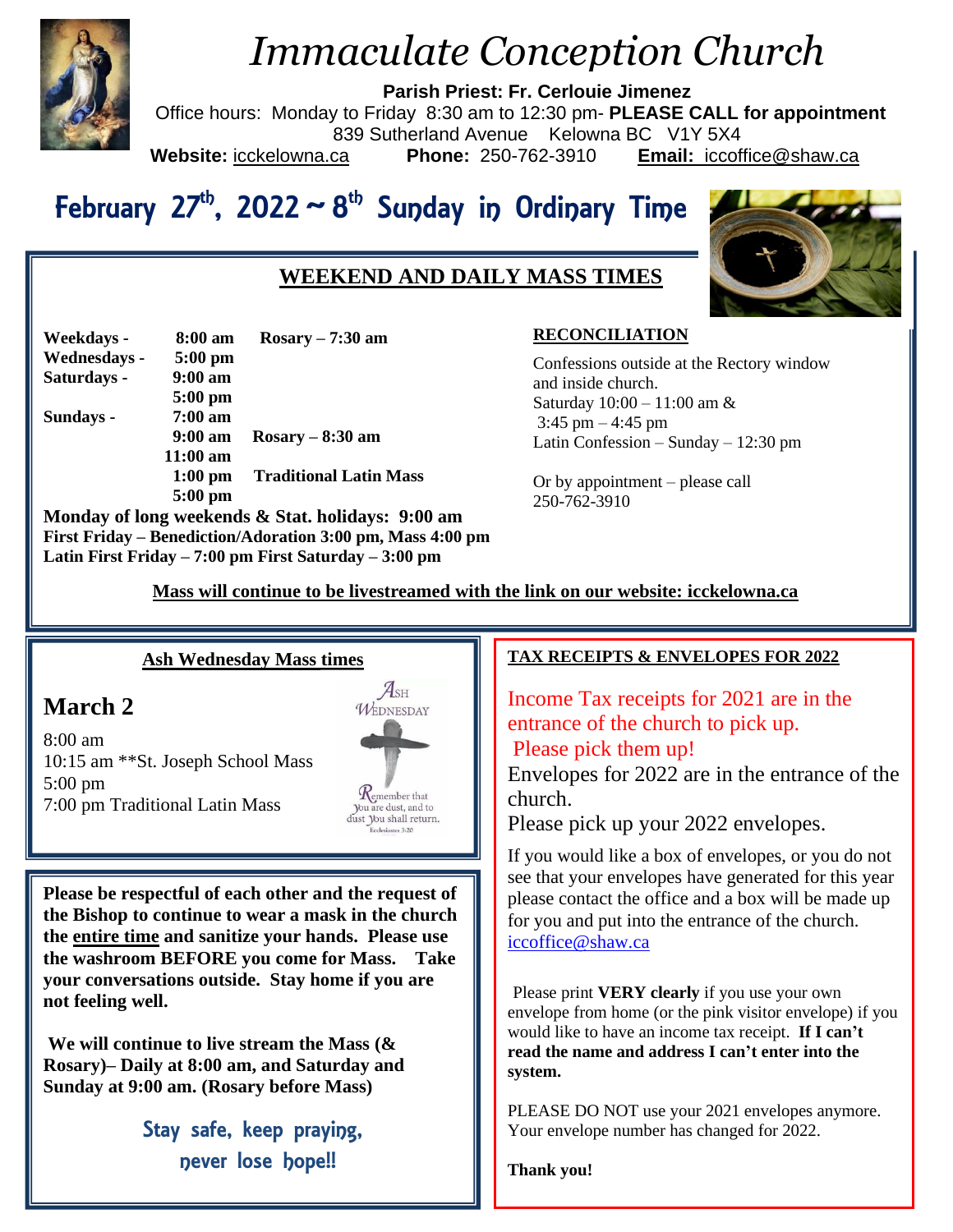

# *Immaculate Conception Church*

**Parish Priest: Fr. Cerlouie Jimenez**

Office hours: Monday to Friday 8:30 am to 12:30 pm- **PLEASE CALL for appointment** 839 Sutherland Avenue Kelowna BC V1Y 5X4<br>ca **Phone:** 250-762-3910 **Email:** iccofi **Website:** icckelowna.ca **Phone:** 250-762-3910 **Email:** iccoffice@shaw.ca

# February 27<sup>th</sup>, 2022 ~ 8<sup>th</sup> Sunday in Ordinary Time

# **WEEKEND AND DAILY MASS TIMES**



| Weekdays -   | 8:00 am           | $Rosary - 7:30$ am                                |
|--------------|-------------------|---------------------------------------------------|
| Wednesdays - | $5:00$ pm         |                                                   |
| Saturdays -  | $9:00 \text{ am}$ |                                                   |
|              | $5:00$ pm         |                                                   |
| Sundays -    | $7:00 \text{ am}$ |                                                   |
|              | $9:00 \text{ am}$ | $Rosary - 8:30 am$                                |
|              | $11:00$ am        |                                                   |
|              | $1:00$ pm         | <b>Traditional Latin Mass</b>                     |
|              | $5:00$ pm         |                                                   |
|              |                   | Monday of long weekends & Stat. holidays: 9:00 am |

**First Friday – Benediction/Adoration 3:00 pm, Mass 4:00 pm Latin First Friday – 7:00 pm First Saturday – 3:00 pm** 

## **RECONCILIATION**

Confessions outside at the Rectory window and inside church. Saturday 10:00 – 11:00 am &  $3:45$  pm  $-4:45$  pm Latin Confession – Sunday – 12:30 pm

Or by appointment – please call 250-762-3910

 **Mass will continue to be livestreamed with the link on our website: icckelowna.ca**

## **Ash Wednesday Mass times**

# **March 2**

8:00 am 10:15 am \*\*St. Joseph School Mass 5:00 pm 7:00 pm Traditional Latin Mass



**Please be respectful of each other and the request of the Bishop to continue to wear a mask in the church the entire time and sanitize your hands. Please use the washroom BEFORE you come for Mass. Take your conversations outside. Stay home if you are not feeling well.** 

**We will continue to live stream the Mass (& Rosary)– Daily at 8:00 am, and Saturday and Sunday at 9:00 am. (Rosary before Mass)**

> Stay safe, keep praying, never lose hope!!

#### j **TAX RECEIPTS & ENVELOPES FOR 2022**

Income Tax receipts for 2021 are in the entrance of the church to pick up. Please pick them up!

Envelopes for 2022 are in the entrance of the church.

Please pick up your 2022 envelopes.

If you would like a box of envelopes, or you do not see that your envelopes have generated for this year please contact the office and a box will be made up for you and put into the entrance of the church. [iccoffice@shaw.ca](mailto:iccoffice@shaw.ca)

Please print **VERY clearly** if you use your own envelope from home (or the pink visitor envelope) if you would like to have an income tax receipt. **If I can't read the name and address I can't enter into the system.** 

PLEASE DO NOT use your 2021 envelopes anymore. Your envelope number has changed for 2022.

**Thank you!**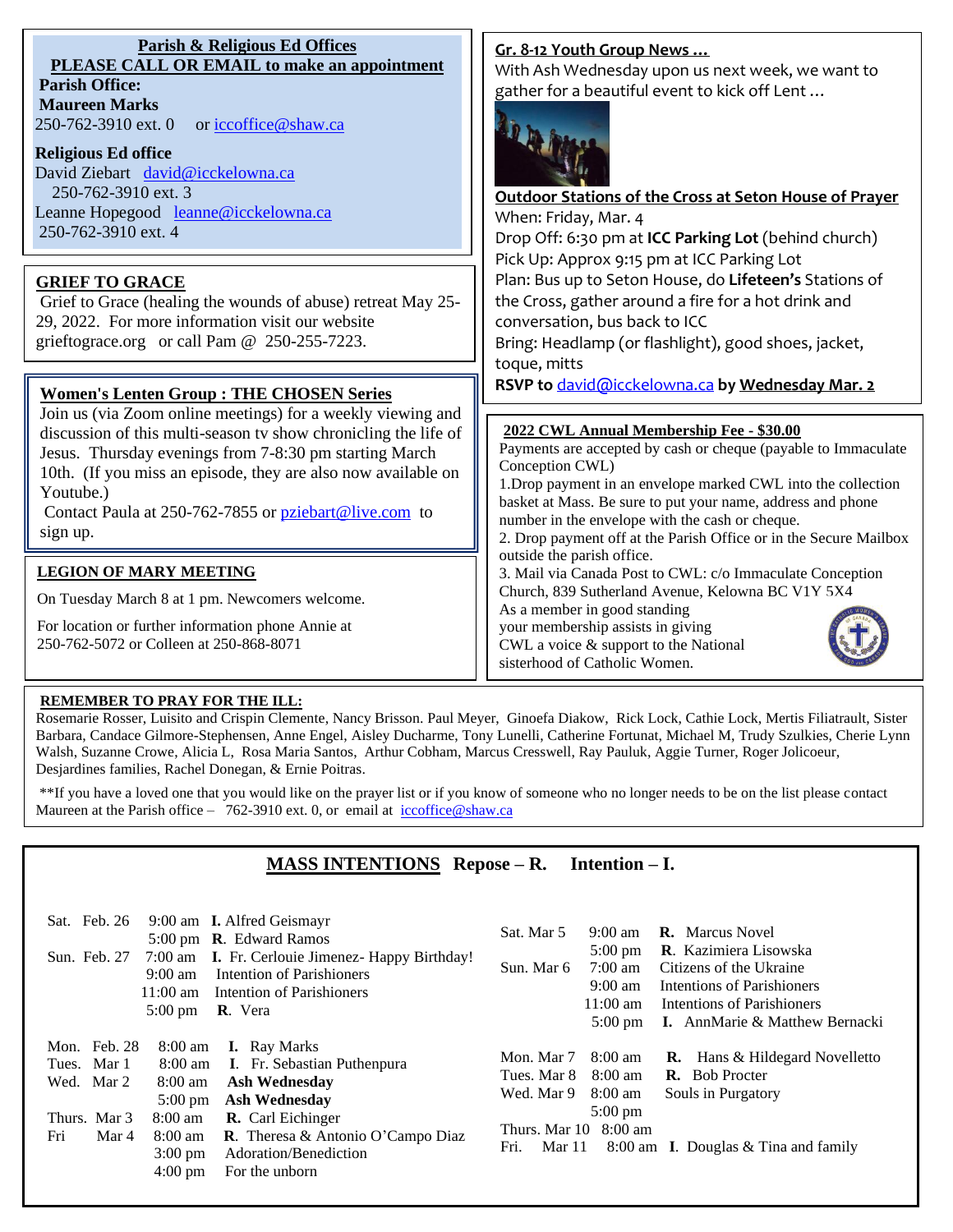| Parish & Religious Ed Offices                      |  |  |  |  |
|----------------------------------------------------|--|--|--|--|
| <b>PLEASE CALL OR EMAIL to make an appointment</b> |  |  |  |  |
| <b>Parish Office:</b>                              |  |  |  |  |

**Maureen Marks**  250-762-3910 ext. 0 or [iccoffice@shaw.ca](mailto:iccoffice@shaw.ca)

#### **Religious Ed office**

David Ziebart david@icckelowna.ca 250-762-3910 ext. 3 Leanne Hopegood [leanne@icckelowna.ca](mailto:leanne@icckelowna.ca) 250-762-3910 ext. 4

## **GRIEF TO GRACE**

Grief to Grace (healing the wounds of abuse) retreat May 25- 29, 2022. For more information visit our website grieftograce.org or call Pam @ 250-255-7223.

### **Women's Lenten Group : THE CHOSEN Series**

Join us (via Zoom online meetings) for a weekly viewing and discussion of this multi-season tv show chronicling the life of Jesus. Thursday evenings from 7-8:30 pm starting March 10th. (If you miss an episode, they are also now available on Youtube.)

Contact Paula at 250-762-7855 or [pziebart@live.com](mailto:pziebart@live.com) to sign up.

#### **LEGION OF MARY MEETING**

On Tuesday March 8 at 1 pm. Newcomers welcome.

For location or further information phone Annie at 250-762-5072 or Colleen at 250-868-8071

#### **Gr. 8-12 Youth Group News …**

With Ash Wednesday upon us next week, we want to gather for a beautiful event to kick off Lent …



**Outdoor Stations of the Cross at Seton House of Prayer** When: Friday, Mar. 4 Drop Off: 6:30 pm at **ICC Parking Lot** (behind church) Pick Up: Approx 9:15 pm at ICC Parking Lot Plan: Bus up to Seton House, do **Lifeteen's** Stations of the Cross, gather around a fire for a hot drink and conversation, bus back to ICC Bring: Headlamp (or flashlight), good shoes, jacket, toque, mitts **RSVP to** [david@icckelowna.ca](mailto:david@icckelowna.ca) **by Wednesday Mar. 2**

#### **2022 CWL Annual Membership Fee - \$30.00**

Payments are accepted by cash or cheque (payable to Immaculate Conception CWL) 1.Drop payment in an envelope marked CWL into the collection basket at Mass. Be sure to put your name, address and phone number in the envelope with the cash or cheque.

2. Drop payment off at the Parish Office or in the Secure Mailbox outside the parish office.

3. Mail via Canada Post to CWL: c/o Immaculate Conception Church, 839 Sutherland Avenue, Kelowna BC V1Y 5X4

As a member in good standing your membership assists in giving

CWL a voice & support to the National sisterhood of Catholic Women.



#### **REMEMBER TO PRAY FOR THE ILL:**

j

Rosemarie Rosser, Luisito and Crispin Clemente, Nancy Brisson. Paul Meyer, Ginoefa Diakow, Rick Lock, Cathie Lock, Mertis Filiatrault, Sister Barbara, Candace Gilmore-Stephensen, Anne Engel, Aisley Ducharme, Tony Lunelli, Catherine Fortunat, Michael M, Trudy Szulkies, Cherie Lynn Walsh, Suzanne Crowe, Alicia L, Rosa Maria Santos, Arthur Cobham, Marcus Cresswell, Ray Pauluk, Aggie Turner, Roger Jolicoeur, Desjardines families, Rachel Donegan, & Ernie Poitras.

\*\*If you have a loved one that you would like on the prayer list or if you know of someone who no longer needs to be on the list please contact Maureen at the Parish office – 762-3910 ext. 0, or email at iccoffice@shaw.ca

## **MASS INTENTIONS Repose – R. Intention – I.**

| Sat. Feb. 26<br>9:00 am <b>I.</b> Alfred Geismayr<br>5:00 pm <b>R</b> . Edward Ramos<br>7:00 am <b>I.</b> Fr. Cerlouie Jimenez- Happy Birthday!<br>Sun. Feb. 27<br>Intention of Parishioners<br>$9:00 \text{ am}$<br>Intention of Parishioners<br>$11:00 \text{ am}$<br><b>R</b> . Vera<br>$5:00 \text{ pm}$                                                                                                                                                   | <b>R.</b> Marcus Novel<br>Sat. Mar 5<br>$9:00 \text{ am}$<br>R. Kazimiera Lisowska<br>$5:00 \text{ pm}$<br>Sun. Mar 6<br>7:00 am<br>Citizens of the Ukraine<br>$9:00 \text{ am}$<br>Intentions of Parishioners<br>$11:00 \text{ am}$<br>Intentions of Parishioners<br><b>I.</b> AnnMarie & Matthew Bernacki<br>$5:00 \text{ pm}$ |
|----------------------------------------------------------------------------------------------------------------------------------------------------------------------------------------------------------------------------------------------------------------------------------------------------------------------------------------------------------------------------------------------------------------------------------------------------------------|----------------------------------------------------------------------------------------------------------------------------------------------------------------------------------------------------------------------------------------------------------------------------------------------------------------------------------|
| Mon. Feb. 28<br><b>I.</b> Ray Marks<br>$8:00 \text{ am}$<br>Tues. Mar 1<br><b>I.</b> Fr. Sebastian Puthenpura<br>8:00 am<br><b>Ash Wednesday</b><br>Wed. Mar 2<br>8:00 am<br><b>Ash Wednesday</b><br>$5:00 \text{ pm}$<br><b>R.</b> Carl Eichinger<br>Thurs. Mar 3<br>$8:00 \text{ am}$<br>Fri<br><b>R</b> . Theresa & Antonio O'Campo Diaz<br>Mar 4<br>$8:00 \text{ am}$<br>Adoration/Benediction<br>$3:00 \text{ pm}$<br>$4:00 \text{ pm}$<br>For the unborn | 8:00 am<br><b>R.</b> Hans & Hildegard Novelletto<br>Mon. Mar 7<br><b>R.</b> Bob Procter<br>Tues. Mar 8<br>8:00 am<br>Wed. Mar 9<br>8:00 am<br>Souls in Purgatory<br>$5:00 \text{ pm}$<br>Thurs. Mar 10 8:00 am<br>8:00 am I. Douglas $&$ Tina and family<br>Fri.<br>Mar 11                                                       |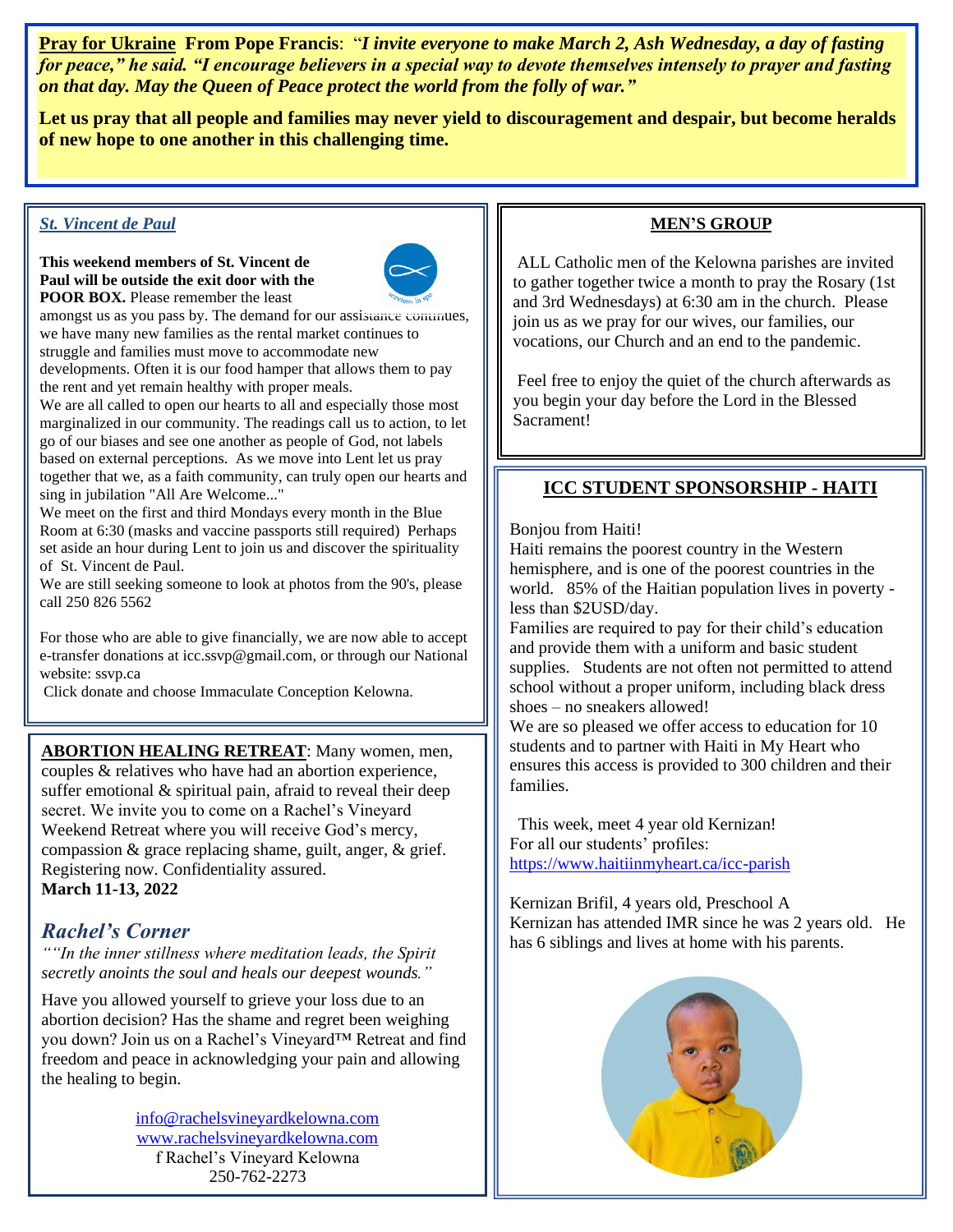**Pray for Ukraine From Pope Francis**: "*I invite everyone to make March 2, Ash Wednesday, a day of fasting for peace," he said. "I encourage believers in a special way to devote themselves intensely to prayer and fasting on that day. May the Queen of Peace protect the world from the folly of war."*

**Let us pray that all people and families may never yield to discouragement and despair, but become heralds of new hope to one another in this challenging time.** 

#### *St. Vincent de Paul*

#### **This weekend members of St. Vincent de Paul will be outside the exit door with the POOR BOX.** Please remember the least



amongst us as you pass by. The demand for our assistance continues, we have many new families as the rental market continues to struggle and families must move to accommodate new developments. Often it is our food hamper that allows them to pay the rent and yet remain healthy with proper meals.

We are all called to open our hearts to all and especially those most marginalized in our community. The readings call us to action, to let go of our biases and see one another as people of God, not labels based on external perceptions. As we move into Lent let us pray together that we, as a faith community, can truly open our hearts and sing in jubilation "All Are Welcome..."

We meet on the first and third Mondays every month in the Blue Room at 6:30 (masks and vaccine passports still required) Perhaps set aside an hour during Lent to join us and discover the spirituality of St. Vincent de Paul.

We are still seeking someone to look at photos from the 90's, please call 250 826 5562

For those who are able to give financially, we are now able to accept e-transfer donations at icc.ssvp@gmail.com, or through our National website: ssvp.ca

Click donate and choose Immaculate Conception Kelowna.

Thank you for your generosity to those in need.

**ABORTION HEALING RETREAT**: Many women, men, couples & relatives who have had an abortion experience, suffer emotional & spiritual pain, afraid to reveal their deep secret. We invite you to come on a Rachel's Vineyard Weekend Retreat where you will receive God's mercy, compassion & grace replacing shame, guilt, anger, & grief. Registering now. Confidentiality assured. **March 11-13, 2022**

# *Rachel's Corner*

*""In the inner stillness where meditation leads, the Spirit secretly anoints the soul and heals our deepest wounds."*

Have you allowed yourself to grieve your loss due to an abortion decision? Has the shame and regret been weighing you down? Join us on a Rachel's Vineyard™ Retreat and find freedom and peace in acknowledging your pain and allowing the healing to begin.

> [info@rachelsvineyardkelowna.com](mailto:info@rachelsvineyardkelowna.com) [www.rachelsvineyardkelowna.com](http://www.rachelsvineyardkelowna.com/) f Rachel's Vineyard Kelowna 250-762-2273

### **MEN'S GROUP**

ALL Catholic men of the Kelowna parishes are invited to gather together twice a month to pray the Rosary (1st and 3rd Wednesdays) at 6:30 am in the church. Please join us as we pray for our wives, our families, our vocations, our Church and an end to the pandemic.

Feel free to enjoy the quiet of the church afterwards as you begin your day before the Lord in the Blessed Sacrament!

## **ICC STUDENT SPONSORSHIP - HAITI**

#### Bonjou from Haiti!

Haiti remains the poorest country in the Western hemisphere, and is one of the poorest countries in the world. 85% of the Haitian population lives in poverty less than \$2USD/day.

Families are required to pay for their child's education and provide them with a uniform and basic student supplies. Students are not often not permitted to attend school without a proper uniform, including black dress shoes – no sneakers allowed!

We are so pleased we offer access to education for 10 students and to partner with Haiti in My Heart who ensures this access is provided to 300 children and their families.

 This week, meet 4 year old Kernizan! For all our students' profiles: <https://www.haitiinmyheart.ca/icc-parish>

Kernizan Brifil, 4 years old, Preschool A Kernizan has attended IMR since he was 2 years old. He has 6 siblings and lives at home with his parents.